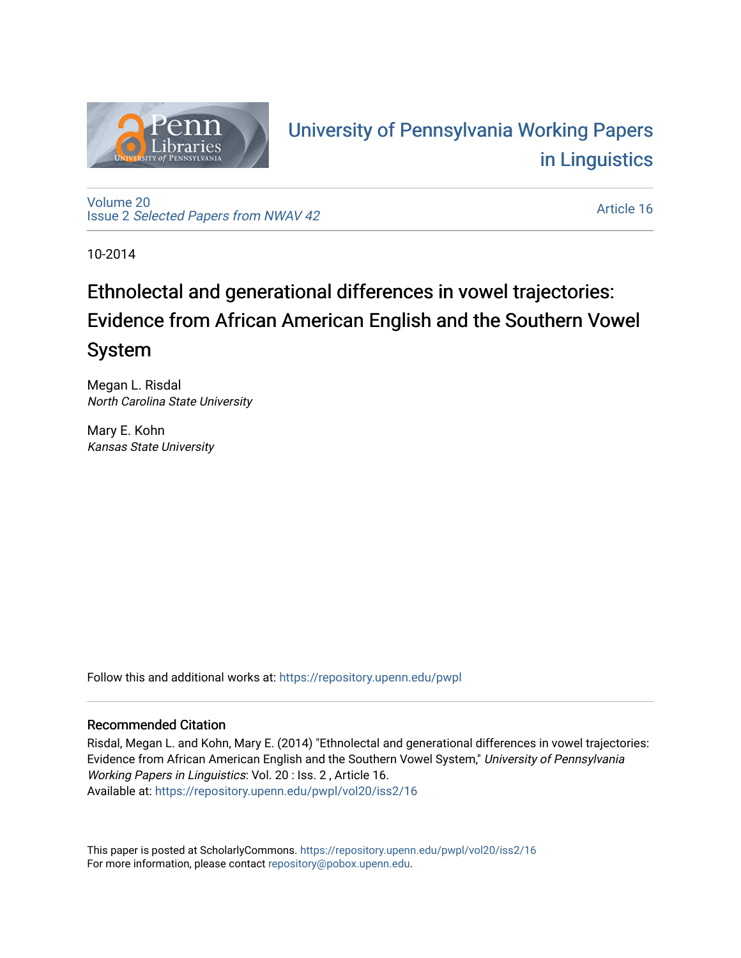

# University of P[ennsylvania Working P](https://repository.upenn.edu/pwpl)apers [in Linguistics](https://repository.upenn.edu/pwpl)

[Volume 20](https://repository.upenn.edu/pwpl/vol20) Issue 2 [Selected Papers from NWAV 42](https://repository.upenn.edu/pwpl/vol20/iss2) 

[Article 16](https://repository.upenn.edu/pwpl/vol20/iss2/16) 

10-2014

# Ethnolectal and generational differences in vowel trajectories: Evidence from African American English and the Southern Vowel System

Megan L. Risdal North Carolina State University

Mary E. Kohn Kansas State University

Follow this and additional works at: [https://repository.upenn.edu/pwpl](https://repository.upenn.edu/pwpl?utm_source=repository.upenn.edu%2Fpwpl%2Fvol20%2Fiss2%2F16&utm_medium=PDF&utm_campaign=PDFCoverPages) 

# Recommended Citation

Risdal, Megan L. and Kohn, Mary E. (2014) "Ethnolectal and generational differences in vowel trajectories: Evidence from African American English and the Southern Vowel System," University of Pennsylvania Working Papers in Linguistics: Vol. 20 : Iss. 2 , Article 16. Available at: [https://repository.upenn.edu/pwpl/vol20/iss2/16](https://repository.upenn.edu/pwpl/vol20/iss2/16?utm_source=repository.upenn.edu%2Fpwpl%2Fvol20%2Fiss2%2F16&utm_medium=PDF&utm_campaign=PDFCoverPages)

This paper is posted at ScholarlyCommons.<https://repository.upenn.edu/pwpl/vol20/iss2/16> For more information, please contact [repository@pobox.upenn.edu.](mailto:repository@pobox.upenn.edu)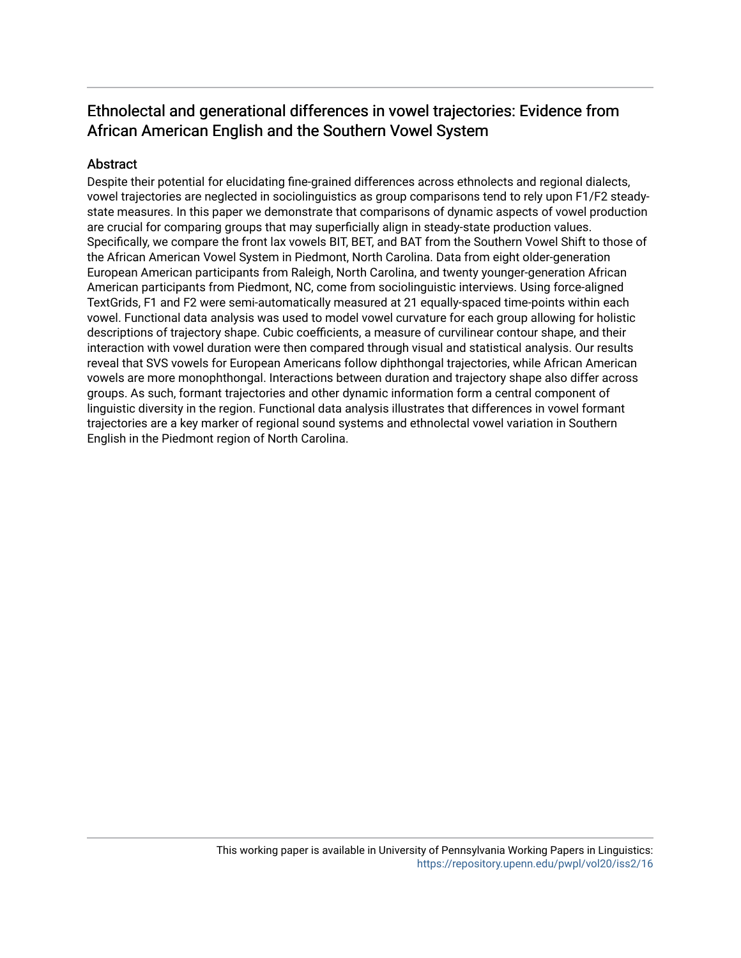# Ethnolectal and generational differences in vowel trajectories: Evidence from African American English and the Southern Vowel System

# Abstract

Despite their potential for elucidating fine-grained differences across ethnolects and regional dialects, vowel trajectories are neglected in sociolinguistics as group comparisons tend to rely upon F1/F2 steadystate measures. In this paper we demonstrate that comparisons of dynamic aspects of vowel production are crucial for comparing groups that may superficially align in steady-state production values. Specifically, we compare the front lax vowels BIT, BET, and BAT from the Southern Vowel Shift to those of the African American Vowel System in Piedmont, North Carolina. Data from eight older-generation European American participants from Raleigh, North Carolina, and twenty younger-generation African American participants from Piedmont, NC, come from sociolinguistic interviews. Using force-aligned TextGrids, F1 and F2 were semi-automatically measured at 21 equally-spaced time-points within each vowel. Functional data analysis was used to model vowel curvature for each group allowing for holistic descriptions of trajectory shape. Cubic coefficients, a measure of curvilinear contour shape, and their interaction with vowel duration were then compared through visual and statistical analysis. Our results reveal that SVS vowels for European Americans follow diphthongal trajectories, while African American vowels are more monophthongal. Interactions between duration and trajectory shape also differ across groups. As such, formant trajectories and other dynamic information form a central component of linguistic diversity in the region. Functional data analysis illustrates that differences in vowel formant trajectories are a key marker of regional sound systems and ethnolectal vowel variation in Southern English in the Piedmont region of North Carolina.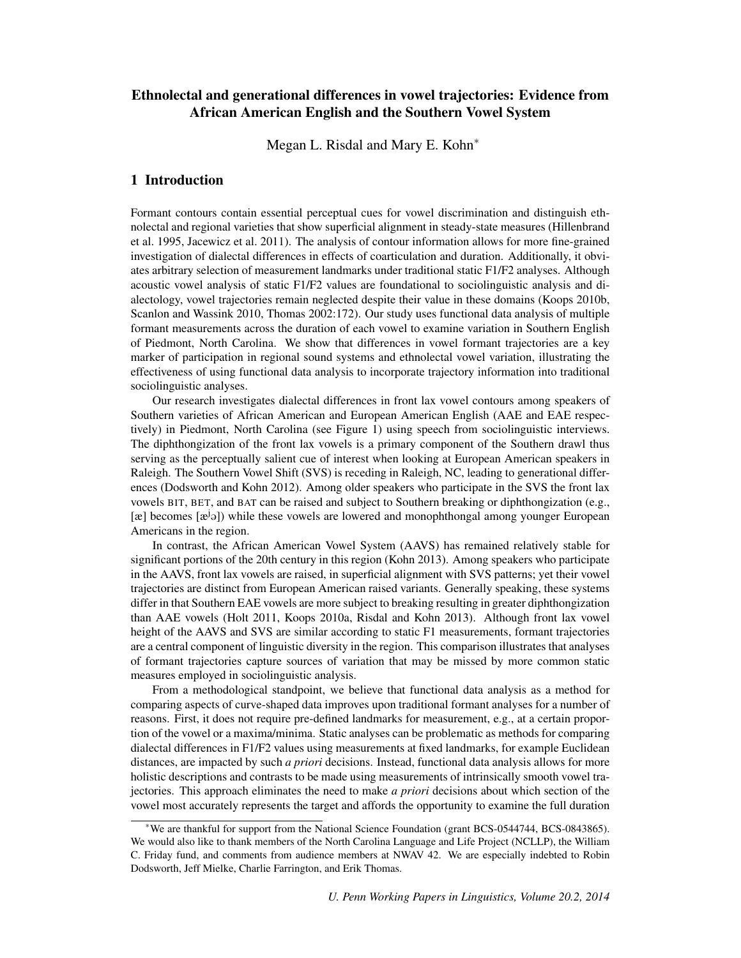# Ethnolectal and generational differences in vowel trajectories: Evidence from African American English and the Southern Vowel System

Megan L. Risdal and Mary E. Kohn<sup>∗</sup>

## 1 Introduction

Formant contours contain essential perceptual cues for vowel discrimination and distinguish ethnolectal and regional varieties that show superficial alignment in steady-state measures (Hillenbrand et al. 1995, Jacewicz et al. 2011). The analysis of contour information allows for more fine-grained investigation of dialectal differences in effects of coarticulation and duration. Additionally, it obviates arbitrary selection of measurement landmarks under traditional static F1/F2 analyses. Although acoustic vowel analysis of static F1/F2 values are foundational to sociolinguistic analysis and dialectology, vowel trajectories remain neglected despite their value in these domains (Koops 2010b, Scanlon and Wassink 2010, Thomas 2002:172). Our study uses functional data analysis of multiple formant measurements across the duration of each vowel to examine variation in Southern English of Piedmont, North Carolina. We show that differences in vowel formant trajectories are a key marker of participation in regional sound systems and ethnolectal vowel variation, illustrating the effectiveness of using functional data analysis to incorporate trajectory information into traditional sociolinguistic analyses.

Our research investigates dialectal differences in front lax vowel contours among speakers of Southern varieties of African American and European American English (AAE and EAE respectively) in Piedmont, North Carolina (see Figure 1) using speech from sociolinguistic interviews. The diphthongization of the front lax vowels is a primary component of the Southern drawl thus serving as the perceptually salient cue of interest when looking at European American speakers in Raleigh. The Southern Vowel Shift (SVS) is receding in Raleigh, NC, leading to generational differences (Dodsworth and Kohn 2012). Among older speakers who participate in the SVS the front lax vowels BIT, BET, and BAT can be raised and subject to Southern breaking or diphthongization (e.g., [æ] becomes [æ<sup>j</sup>ə]) while these vowels are lowered and monophthongal among younger European Americans in the region.

In contrast, the African American Vowel System (AAVS) has remained relatively stable for significant portions of the 20th century in this region (Kohn 2013). Among speakers who participate in the AAVS, front lax vowels are raised, in superficial alignment with SVS patterns; yet their vowel trajectories are distinct from European American raised variants. Generally speaking, these systems differ in that Southern EAE vowels are more subject to breaking resulting in greater diphthongization than AAE vowels (Holt 2011, Koops 2010a, Risdal and Kohn 2013). Although front lax vowel height of the AAVS and SVS are similar according to static F1 measurements, formant trajectories are a central component of linguistic diversity in the region. This comparison illustrates that analyses of formant trajectories capture sources of variation that may be missed by more common static measures employed in sociolinguistic analysis.

From a methodological standpoint, we believe that functional data analysis as a method for comparing aspects of curve-shaped data improves upon traditional formant analyses for a number of reasons. First, it does not require pre-defined landmarks for measurement, e.g., at a certain proportion of the vowel or a maxima/minima. Static analyses can be problematic as methods for comparing dialectal differences in F1/F2 values using measurements at fixed landmarks, for example Euclidean distances, are impacted by such *a priori* decisions. Instead, functional data analysis allows for more holistic descriptions and contrasts to be made using measurements of intrinsically smooth vowel trajectories. This approach eliminates the need to make *a priori* decisions about which section of the vowel most accurately represents the target and affords the opportunity to examine the full duration

<sup>∗</sup>We are thankful for support from the National Science Foundation (grant BCS-0544744, BCS-0843865). We would also like to thank members of the North Carolina Language and Life Project (NCLLP), the William C. Friday fund, and comments from audience members at NWAV 42. We are especially indebted to Robin Dodsworth, Jeff Mielke, Charlie Farrington, and Erik Thomas.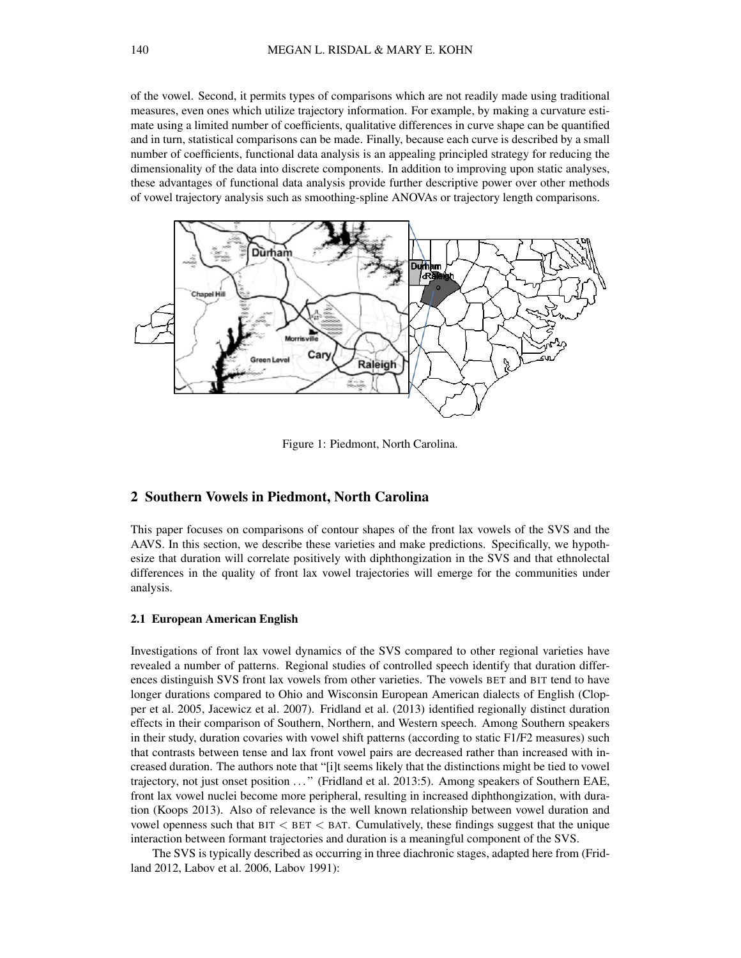of the vowel. Second, it permits types of comparisons which are not readily made using traditional measures, even ones which utilize trajectory information. For example, by making a curvature estimate using a limited number of coefficients, qualitative differences in curve shape can be quantified and in turn, statistical comparisons can be made. Finally, because each curve is described by a small number of coefficients, functional data analysis is an appealing principled strategy for reducing the dimensionality of the data into discrete components. In addition to improving upon static analyses, these advantages of functional data analysis provide further descriptive power over other methods of vowel trajectory analysis such as smoothing-spline ANOVAs or trajectory length comparisons.



Figure 1: Piedmont, North Carolina.

## 2 Southern Vowels in Piedmont, North Carolina

This paper focuses on comparisons of contour shapes of the front lax vowels of the SVS and the AAVS. In this section, we describe these varieties and make predictions. Specifically, we hypothesize that duration will correlate positively with diphthongization in the SVS and that ethnolectal differences in the quality of front lax vowel trajectories will emerge for the communities under analysis.

#### 2.1 European American English

Investigations of front lax vowel dynamics of the SVS compared to other regional varieties have revealed a number of patterns. Regional studies of controlled speech identify that duration differences distinguish SVS front lax vowels from other varieties. The vowels BET and BIT tend to have longer durations compared to Ohio and Wisconsin European American dialects of English (Clopper et al. 2005, Jacewicz et al. 2007). Fridland et al. (2013) identified regionally distinct duration effects in their comparison of Southern, Northern, and Western speech. Among Southern speakers in their study, duration covaries with vowel shift patterns (according to static F1/F2 measures) such that contrasts between tense and lax front vowel pairs are decreased rather than increased with increased duration. The authors note that "[i]t seems likely that the distinctions might be tied to vowel trajectory, not just onset position . . . " (Fridland et al. 2013:5). Among speakers of Southern EAE, front lax vowel nuclei become more peripheral, resulting in increased diphthongization, with duration (Koops 2013). Also of relevance is the well known relationship between vowel duration and vowel openness such that  $BT < BET < BAT$ . Cumulatively, these findings suggest that the unique interaction between formant trajectories and duration is a meaningful component of the SVS.

The SVS is typically described as occurring in three diachronic stages, adapted here from (Fridland 2012, Labov et al. 2006, Labov 1991):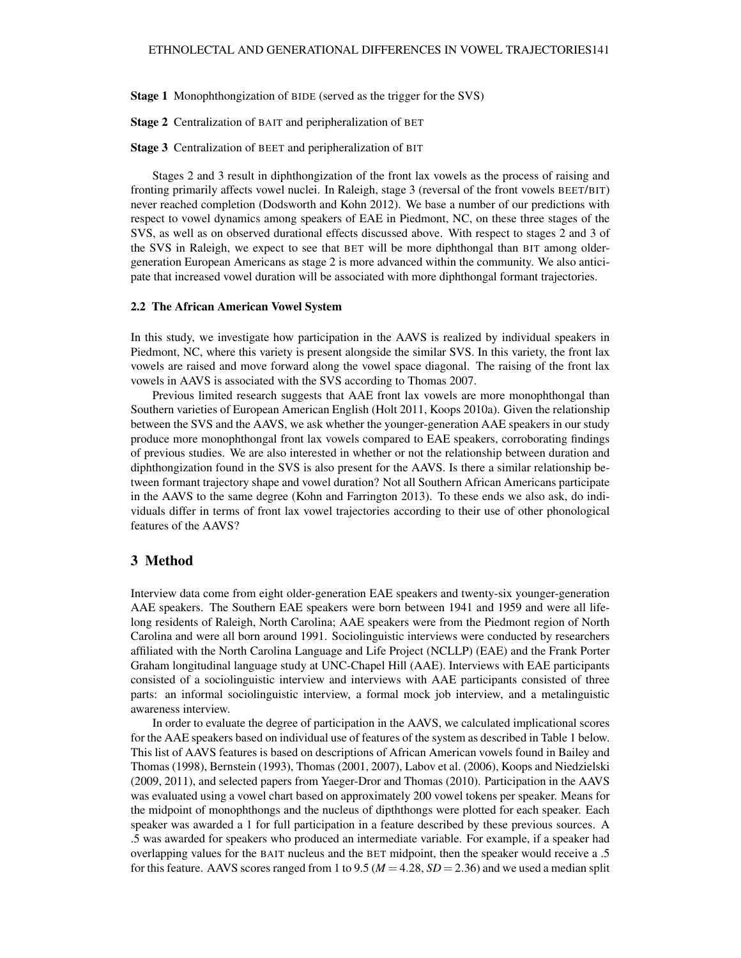Stage 1 Monophthongization of BIDE (served as the trigger for the SVS)

Stage 2 Centralization of BAIT and peripheralization of BET

Stage 3 Centralization of BEET and peripheralization of BIT

Stages 2 and 3 result in diphthongization of the front lax vowels as the process of raising and fronting primarily affects vowel nuclei. In Raleigh, stage 3 (reversal of the front vowels BEET/BIT) never reached completion (Dodsworth and Kohn 2012). We base a number of our predictions with respect to vowel dynamics among speakers of EAE in Piedmont, NC, on these three stages of the SVS, as well as on observed durational effects discussed above. With respect to stages 2 and 3 of the SVS in Raleigh, we expect to see that BET will be more diphthongal than BIT among oldergeneration European Americans as stage 2 is more advanced within the community. We also anticipate that increased vowel duration will be associated with more diphthongal formant trajectories.

#### 2.2 The African American Vowel System

In this study, we investigate how participation in the AAVS is realized by individual speakers in Piedmont, NC, where this variety is present alongside the similar SVS. In this variety, the front lax vowels are raised and move forward along the vowel space diagonal. The raising of the front lax vowels in AAVS is associated with the SVS according to Thomas 2007.

Previous limited research suggests that AAE front lax vowels are more monophthongal than Southern varieties of European American English (Holt 2011, Koops 2010a). Given the relationship between the SVS and the AAVS, we ask whether the younger-generation AAE speakers in our study produce more monophthongal front lax vowels compared to EAE speakers, corroborating findings of previous studies. We are also interested in whether or not the relationship between duration and diphthongization found in the SVS is also present for the AAVS. Is there a similar relationship between formant trajectory shape and vowel duration? Not all Southern African Americans participate in the AAVS to the same degree (Kohn and Farrington 2013). To these ends we also ask, do individuals differ in terms of front lax vowel trajectories according to their use of other phonological features of the AAVS?

### 3 Method

Interview data come from eight older-generation EAE speakers and twenty-six younger-generation AAE speakers. The Southern EAE speakers were born between 1941 and 1959 and were all lifelong residents of Raleigh, North Carolina; AAE speakers were from the Piedmont region of North Carolina and were all born around 1991. Sociolinguistic interviews were conducted by researchers affiliated with the North Carolina Language and Life Project (NCLLP) (EAE) and the Frank Porter Graham longitudinal language study at UNC-Chapel Hill (AAE). Interviews with EAE participants consisted of a sociolinguistic interview and interviews with AAE participants consisted of three parts: an informal sociolinguistic interview, a formal mock job interview, and a metalinguistic awareness interview.

In order to evaluate the degree of participation in the AAVS, we calculated implicational scores for the AAE speakers based on individual use of features of the system as described in Table 1 below. This list of AAVS features is based on descriptions of African American vowels found in Bailey and Thomas (1998), Bernstein (1993), Thomas (2001, 2007), Labov et al. (2006), Koops and Niedzielski (2009, 2011), and selected papers from Yaeger-Dror and Thomas (2010). Participation in the AAVS was evaluated using a vowel chart based on approximately 200 vowel tokens per speaker. Means for the midpoint of monophthongs and the nucleus of dipththongs were plotted for each speaker. Each speaker was awarded a 1 for full participation in a feature described by these previous sources. A .5 was awarded for speakers who produced an intermediate variable. For example, if a speaker had overlapping values for the BAIT nucleus and the BET midpoint, then the speaker would receive a .5 for this feature. AAVS scores ranged from 1 to 9.5 ( $M = 4.28$ ,  $SD = 2.36$ ) and we used a median split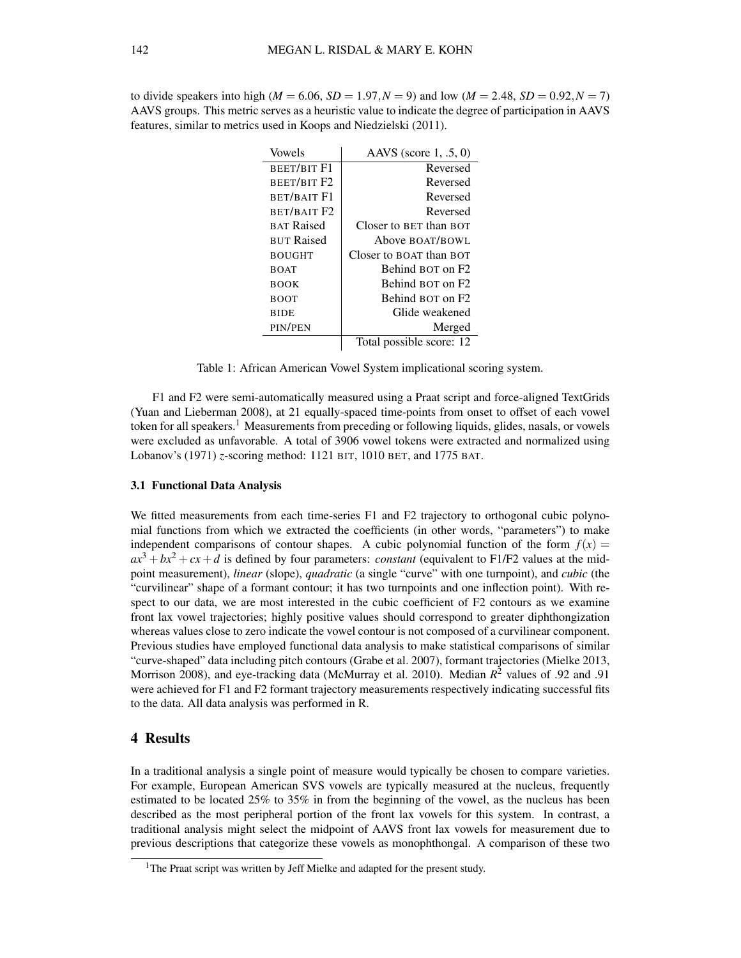| Vowels             | AAVS (score $1, .5, 0$ ) |  |
|--------------------|--------------------------|--|
| <b>BEET/BIT F1</b> | Reversed                 |  |
| BEET/BIT F2        | Reversed                 |  |
| <b>BET/BAIT F1</b> | Reversed                 |  |
| BET/BAIT F2        | Reversed                 |  |
| <b>BAT Raised</b>  | Closer to BET than BOT   |  |
| <b>BUT Raised</b>  | Above BOAT/BOWL          |  |
| <b>BOUGHT</b>      | Closer to BOAT than BOT  |  |
| <b>BOAT</b>        | Behind BOT on F2         |  |
| <b>BOOK</b>        | Behind BOT on F2         |  |
| <b>BOOT</b>        | Behind BOT on F2         |  |
| <b>BIDE</b>        | Glide weakened           |  |
| PIN/PEN            | Merged                   |  |
|                    | Total possible score: 12 |  |

to divide speakers into high ( $M = 6.06$ ,  $SD = 1.97$ ,  $N = 9$ ) and low ( $M = 2.48$ ,  $SD = 0.92$ ,  $N = 7$ ) AAVS groups. This metric serves as a heuristic value to indicate the degree of participation in AAVS features, similar to metrics used in Koops and Niedzielski (2011).

Table 1: African American Vowel System implicational scoring system.

F1 and F2 were semi-automatically measured using a Praat script and force-aligned TextGrids (Yuan and Lieberman 2008), at 21 equally-spaced time-points from onset to offset of each vowel token for all speakers.<sup>1</sup> Measurements from preceding or following liquids, glides, nasals, or vowels were excluded as unfavorable. A total of 3906 vowel tokens were extracted and normalized using Lobanov's (1971) *z*-scoring method: 1121 BIT, 1010 BET, and 1775 BAT.

#### 3.1 Functional Data Analysis

We fitted measurements from each time-series F1 and F2 trajectory to orthogonal cubic polynomial functions from which we extracted the coefficients (in other words, "parameters") to make independent comparisons of contour shapes. A cubic polynomial function of the form  $f(x) =$  $ax^3 + bx^2 + cx + d$  is defined by four parameters: *constant* (equivalent to F1/F2 values at the midpoint measurement), *linear* (slope), *quadratic* (a single "curve" with one turnpoint), and *cubic* (the "curvilinear" shape of a formant contour; it has two turnpoints and one inflection point). With respect to our data, we are most interested in the cubic coefficient of F2 contours as we examine front lax vowel trajectories; highly positive values should correspond to greater diphthongization whereas values close to zero indicate the vowel contour is not composed of a curvilinear component. Previous studies have employed functional data analysis to make statistical comparisons of similar "curve-shaped" data including pitch contours (Grabe et al. 2007), formant trajectories (Mielke 2013, Morrison 2008), and eye-tracking data (McMurray et al. 2010). Median *R* <sup>2</sup> values of .92 and .91 were achieved for F1 and F2 formant trajectory measurements respectively indicating successful fits to the data. All data analysis was performed in R.

## 4 Results

In a traditional analysis a single point of measure would typically be chosen to compare varieties. For example, European American SVS vowels are typically measured at the nucleus, frequently estimated to be located 25% to 35% in from the beginning of the vowel, as the nucleus has been described as the most peripheral portion of the front lax vowels for this system. In contrast, a traditional analysis might select the midpoint of AAVS front lax vowels for measurement due to previous descriptions that categorize these vowels as monophthongal. A comparison of these two

<sup>&</sup>lt;sup>1</sup>The Praat script was written by Jeff Mielke and adapted for the present study.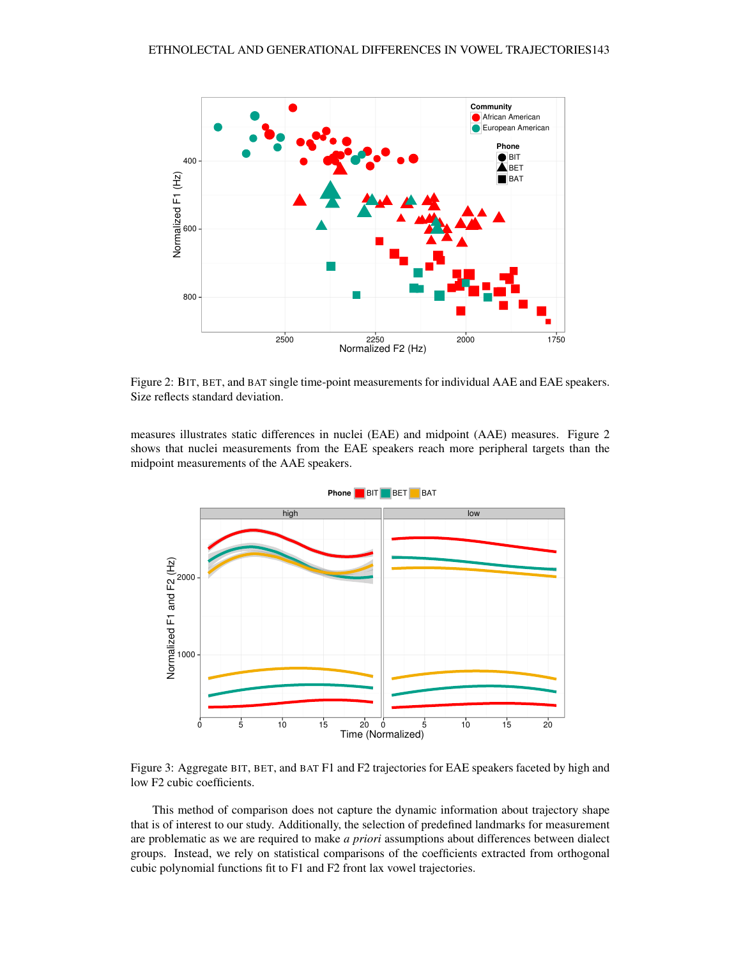

Figure 2: BIT, BET, and BAT single time-point measurements for individual AAE and EAE speakers. Size reflects standard deviation.

measures illustrates static differences in nuclei (EAE) and midpoint (AAE) measures. Figure 2 shows that nuclei measurements from the EAE speakers reach more peripheral targets than the midpoint measurements of the AAE speakers.



Figure 3: Aggregate BIT, BET, and BAT F1 and F2 trajectories for EAE speakers faceted by high and low F2 cubic coefficients.

This method of comparison does not capture the dynamic information about trajectory shape that is of interest to our study. Additionally, the selection of predefined landmarks for measurement are problematic as we are required to make *a priori* assumptions about differences between dialect groups. Instead, we rely on statistical comparisons of the coefficients extracted from orthogonal cubic polynomial functions fit to F1 and F2 front lax vowel trajectories.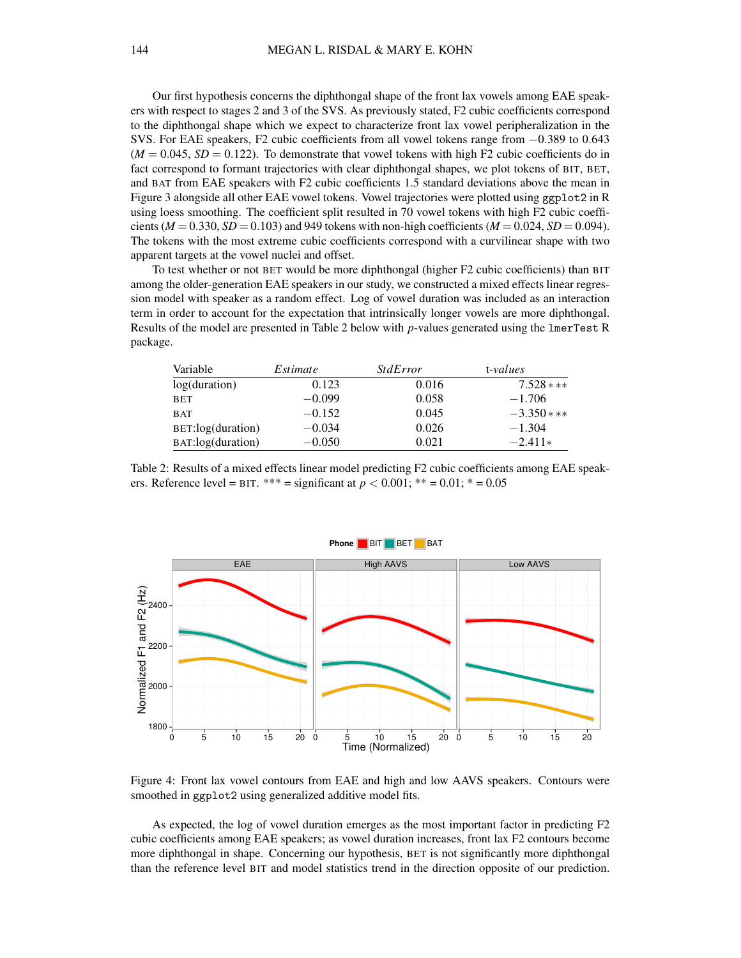Our first hypothesis concerns the diphthongal shape of the front lax vowels among EAE speakers with respect to stages 2 and 3 of the SVS. As previously stated, F2 cubic coefficients correspond to the diphthongal shape which we expect to characterize front lax vowel peripheralization in the SVS. For EAE speakers, F2 cubic coefficients from all vowel tokens range from −0.389 to 0.643  $(M = 0.045, SD = 0.122)$ . To demonstrate that vowel tokens with high F2 cubic coefficients do in fact correspond to formant trajectories with clear diphthongal shapes, we plot tokens of BIT, BET, and BAT from EAE speakers with F2 cubic coefficients 1.5 standard deviations above the mean in Figure 3 alongside all other EAE vowel tokens. Vowel trajectories were plotted using ggplot2 in R using loess smoothing. The coefficient split resulted in 70 vowel tokens with high F2 cubic coefficients ( $M = 0.330$ ,  $SD = 0.103$ ) and 949 tokens with non-high coefficients ( $M = 0.024$ ,  $SD = 0.094$ ). The tokens with the most extreme cubic coefficients correspond with a curvilinear shape with two apparent targets at the vowel nuclei and offset.

To test whether or not BET would be more diphthongal (higher F2 cubic coefficients) than BIT among the older-generation EAE speakers in our study, we constructed a mixed effects linear regression model with speaker as a random effect. Log of vowel duration was included as an interaction term in order to account for the expectation that intrinsically longer vowels are more diphthongal. Results of the model are presented in Table 2 below with *p*-values generated using the lmerTest R package.

| Variable          | Estimate | <i>StdError</i> | t-values     |
|-------------------|----------|-----------------|--------------|
| log(duration)     | 0.123    | 0.016           | $7.528$ ***  |
| BET               | $-0.099$ | 0.058           | $-1.706$     |
| <b>BAT</b>        | $-0.152$ | 0.045           | $-3.350$ *** |
| BET:log(duration) | $-0.034$ | 0.026           | $-1.304$     |
| BAT:log(duration) | $-0.050$ | 0.021           | $-2.411*$    |

Table 2: Results of a mixed effects linear model predicting F2 cubic coefficients among EAE speakers. Reference level = BIT. \*\*\* = significant at  $p < 0.001$ ; \*\* = 0.01; \* = 0.05



Figure 4: Front lax vowel contours from EAE and high and low AAVS speakers. Contours were smoothed in ggplot2 using generalized additive model fits.

As expected, the log of vowel duration emerges as the most important factor in predicting F2 cubic coefficients among EAE speakers; as vowel duration increases, front lax F2 contours become more diphthongal in shape. Concerning our hypothesis, BET is not significantly more diphthongal than the reference level BIT and model statistics trend in the direction opposite of our prediction.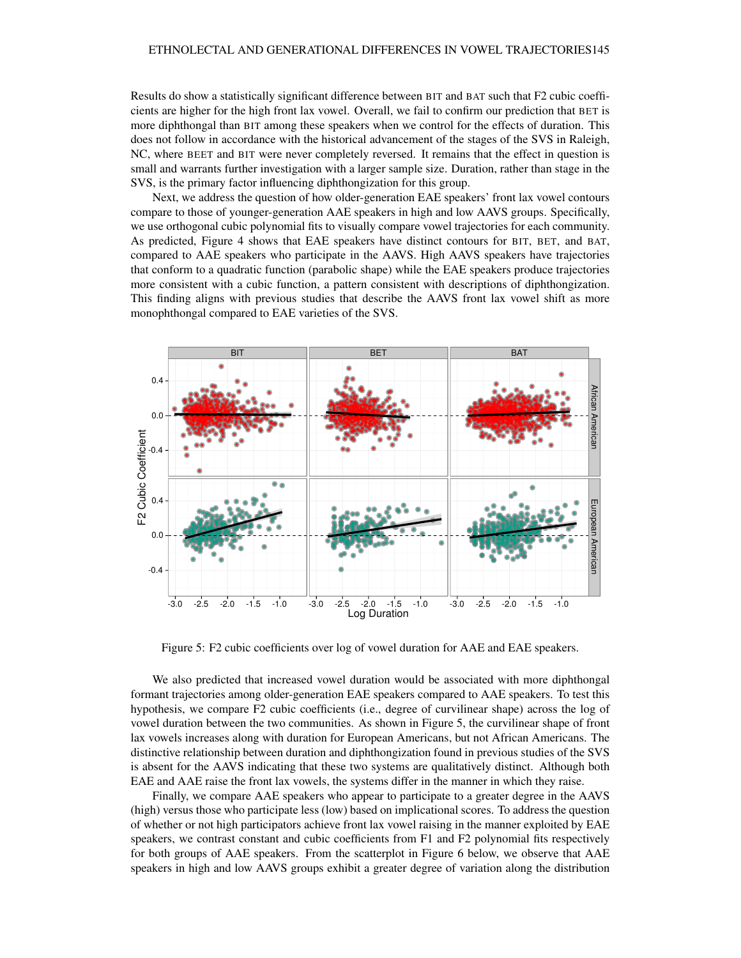Results do show a statistically significant difference between BIT and BAT such that F2 cubic coefficients are higher for the high front lax vowel. Overall, we fail to confirm our prediction that BET is more diphthongal than BIT among these speakers when we control for the effects of duration. This does not follow in accordance with the historical advancement of the stages of the SVS in Raleigh, NC, where BEET and BIT were never completely reversed. It remains that the effect in question is small and warrants further investigation with a larger sample size. Duration, rather than stage in the SVS, is the primary factor influencing diphthongization for this group.

Next, we address the question of how older-generation EAE speakers' front lax vowel contours compare to those of younger-generation AAE speakers in high and low AAVS groups. Specifically, we use orthogonal cubic polynomial fits to visually compare vowel trajectories for each community. As predicted, Figure 4 shows that EAE speakers have distinct contours for BIT, BET, and BAT, compared to AAE speakers who participate in the AAVS. High AAVS speakers have trajectories that conform to a quadratic function (parabolic shape) while the EAE speakers produce trajectories more consistent with a cubic function, a pattern consistent with descriptions of diphthongization. This finding aligns with previous studies that describe the AAVS front lax vowel shift as more monophthongal compared to EAE varieties of the SVS.



Figure 5: F2 cubic coefficients over log of vowel duration for AAE and EAE speakers.

We also predicted that increased vowel duration would be associated with more diphthongal formant trajectories among older-generation EAE speakers compared to AAE speakers. To test this hypothesis, we compare F2 cubic coefficients (i.e., degree of curvilinear shape) across the log of vowel duration between the two communities. As shown in Figure 5, the curvilinear shape of front lax vowels increases along with duration for European Americans, but not African Americans. The distinctive relationship between duration and diphthongization found in previous studies of the SVS is absent for the AAVS indicating that these two systems are qualitatively distinct. Although both EAE and AAE raise the front lax vowels, the systems differ in the manner in which they raise.

Finally, we compare AAE speakers who appear to participate to a greater degree in the AAVS (high) versus those who participate less (low) based on implicational scores. To address the question of whether or not high participators achieve front lax vowel raising in the manner exploited by EAE speakers, we contrast constant and cubic coefficients from F1 and F2 polynomial fits respectively for both groups of AAE speakers. From the scatterplot in Figure 6 below, we observe that AAE speakers in high and low AAVS groups exhibit a greater degree of variation along the distribution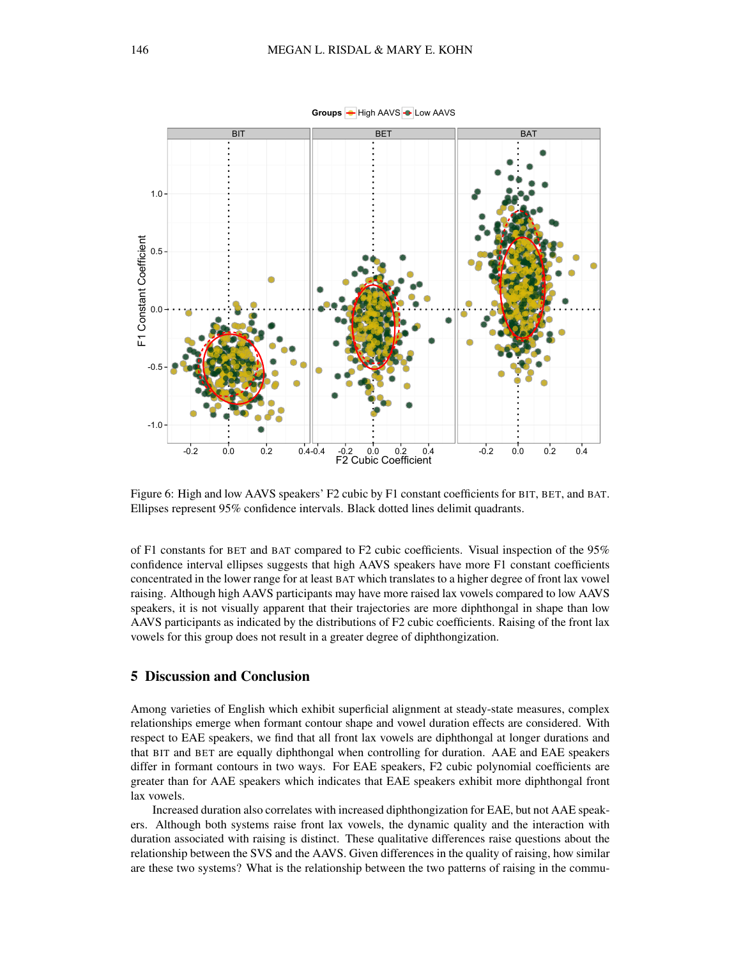

Figure 6: High and low AAVS speakers' F2 cubic by F1 constant coefficients for BIT, BET, and BAT. Ellipses represent 95% confidence intervals. Black dotted lines delimit quadrants.

of F1 constants for BET and BAT compared to F2 cubic coefficients. Visual inspection of the 95% confidence interval ellipses suggests that high AAVS speakers have more F1 constant coefficients concentrated in the lower range for at least BAT which translates to a higher degree of front lax vowel raising. Although high AAVS participants may have more raised lax vowels compared to low AAVS speakers, it is not visually apparent that their trajectories are more diphthongal in shape than low AAVS participants as indicated by the distributions of F2 cubic coefficients. Raising of the front lax vowels for this group does not result in a greater degree of diphthongization.

#### 5 Discussion and Conclusion

Among varieties of English which exhibit superficial alignment at steady-state measures, complex relationships emerge when formant contour shape and vowel duration effects are considered. With respect to EAE speakers, we find that all front lax vowels are diphthongal at longer durations and that BIT and BET are equally diphthongal when controlling for duration. AAE and EAE speakers differ in formant contours in two ways. For EAE speakers, F2 cubic polynomial coefficients are greater than for AAE speakers which indicates that EAE speakers exhibit more diphthongal front lax vowels.

Increased duration also correlates with increased diphthongization for EAE, but not AAE speakers. Although both systems raise front lax vowels, the dynamic quality and the interaction with duration associated with raising is distinct. These qualitative differences raise questions about the relationship between the SVS and the AAVS. Given differences in the quality of raising, how similar are these two systems? What is the relationship between the two patterns of raising in the commu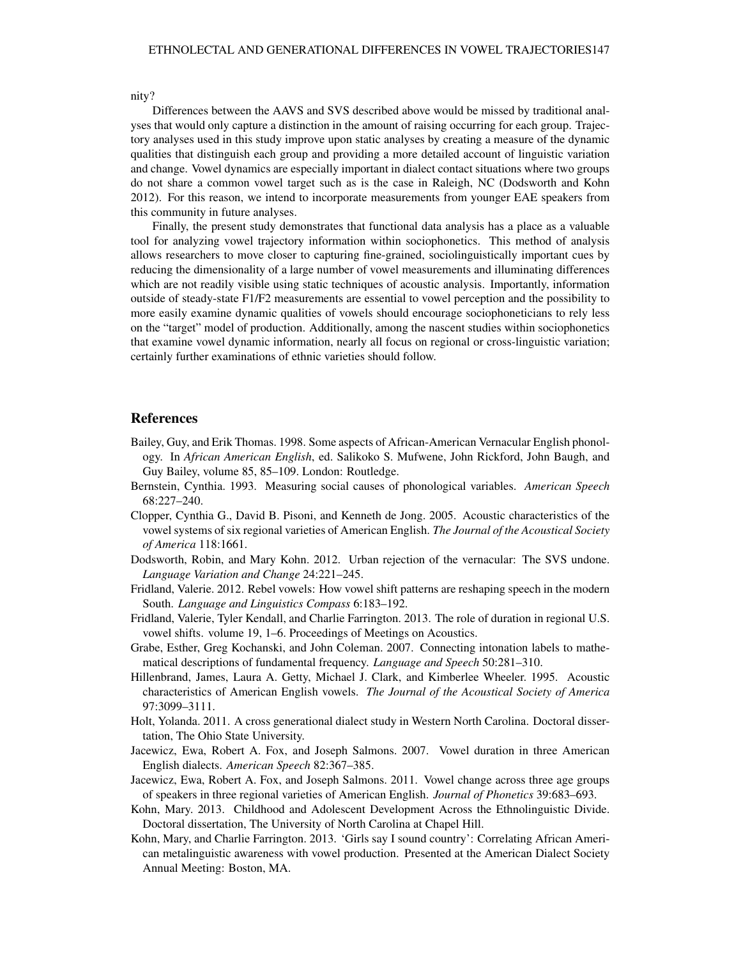nity?

Differences between the AAVS and SVS described above would be missed by traditional analyses that would only capture a distinction in the amount of raising occurring for each group. Trajectory analyses used in this study improve upon static analyses by creating a measure of the dynamic qualities that distinguish each group and providing a more detailed account of linguistic variation and change. Vowel dynamics are especially important in dialect contact situations where two groups do not share a common vowel target such as is the case in Raleigh, NC (Dodsworth and Kohn 2012). For this reason, we intend to incorporate measurements from younger EAE speakers from this community in future analyses.

Finally, the present study demonstrates that functional data analysis has a place as a valuable tool for analyzing vowel trajectory information within sociophonetics. This method of analysis allows researchers to move closer to capturing fine-grained, sociolinguistically important cues by reducing the dimensionality of a large number of vowel measurements and illuminating differences which are not readily visible using static techniques of acoustic analysis. Importantly, information outside of steady-state F1/F2 measurements are essential to vowel perception and the possibility to more easily examine dynamic qualities of vowels should encourage sociophoneticians to rely less on the "target" model of production. Additionally, among the nascent studies within sociophonetics that examine vowel dynamic information, nearly all focus on regional or cross-linguistic variation; certainly further examinations of ethnic varieties should follow.

#### References

- Bailey, Guy, and Erik Thomas. 1998. Some aspects of African-American Vernacular English phonology. In *African American English*, ed. Salikoko S. Mufwene, John Rickford, John Baugh, and Guy Bailey, volume 85, 85–109. London: Routledge.
- Bernstein, Cynthia. 1993. Measuring social causes of phonological variables. *American Speech* 68:227–240.
- Clopper, Cynthia G., David B. Pisoni, and Kenneth de Jong. 2005. Acoustic characteristics of the vowel systems of six regional varieties of American English. *The Journal of the Acoustical Society of America* 118:1661.
- Dodsworth, Robin, and Mary Kohn. 2012. Urban rejection of the vernacular: The SVS undone. *Language Variation and Change* 24:221–245.
- Fridland, Valerie. 2012. Rebel vowels: How vowel shift patterns are reshaping speech in the modern South. *Language and Linguistics Compass* 6:183–192.
- Fridland, Valerie, Tyler Kendall, and Charlie Farrington. 2013. The role of duration in regional U.S. vowel shifts. volume 19, 1–6. Proceedings of Meetings on Acoustics.
- Grabe, Esther, Greg Kochanski, and John Coleman. 2007. Connecting intonation labels to mathematical descriptions of fundamental frequency. *Language and Speech* 50:281–310.
- Hillenbrand, James, Laura A. Getty, Michael J. Clark, and Kimberlee Wheeler. 1995. Acoustic characteristics of American English vowels. *The Journal of the Acoustical Society of America* 97:3099–3111.
- Holt, Yolanda. 2011. A cross generational dialect study in Western North Carolina. Doctoral dissertation, The Ohio State University.
- Jacewicz, Ewa, Robert A. Fox, and Joseph Salmons. 2007. Vowel duration in three American English dialects. *American Speech* 82:367–385.
- Jacewicz, Ewa, Robert A. Fox, and Joseph Salmons. 2011. Vowel change across three age groups of speakers in three regional varieties of American English. *Journal of Phonetics* 39:683–693.
- Kohn, Mary. 2013. Childhood and Adolescent Development Across the Ethnolinguistic Divide. Doctoral dissertation, The University of North Carolina at Chapel Hill.
- Kohn, Mary, and Charlie Farrington. 2013. 'Girls say I sound country': Correlating African American metalinguistic awareness with vowel production. Presented at the American Dialect Society Annual Meeting: Boston, MA.